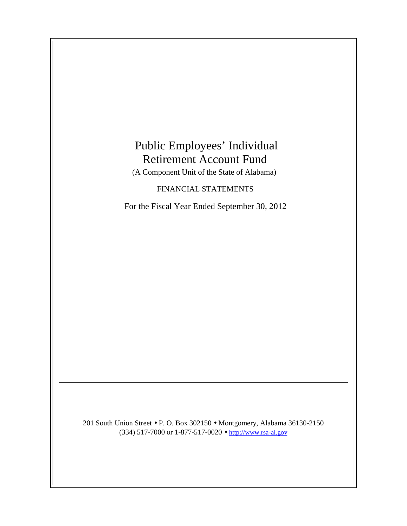# Public Employees' Individual Retirement Account Fund

(A Component Unit of the State of Alabama)

# FINANCIAL STATEMENTS

For the Fiscal Year Ended September 30, 2012

201 South Union Street • P. O. Box 302150 • Montgomery, Alabama 36130-2150 (334) 517-7000 or 1-877-517-0020 • http://www.rsa-al.gov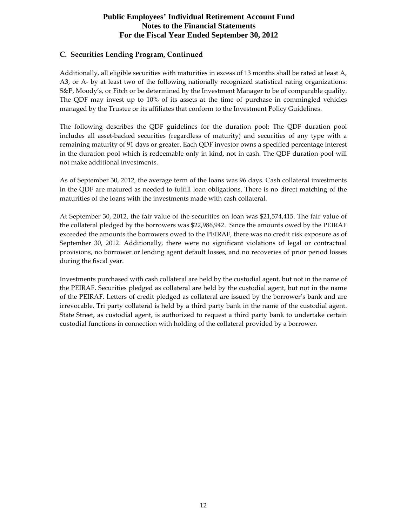# **Public Employees' Individual Retirement Account Fund Notes to the Financial Statements For the Fiscal Year Ended September 30, 2012**

#### C. Securities Lending Program, Continued

Additionally, all eligible securities with maturities in excess of 13 months shall be rated at least A, A3, or A- by at least two of the following nationally recognized statistical rating organizations: S&P, Moody's, or Fitch or be determined by the Investment Manager to be of comparable quality. The QDF may invest up to 10% of its assets at the time of purchase in commingled vehicles managed by the Trustee or its affiliates that conform to the Investment Policy Guidelines.

The following describes the QDF guidelines for the duration pool: The QDF duration pool includes all asset-backed securities (regardless of maturity) and securities of any type with a remaining maturity of 91 days or greater. Each QDF investor owns a specified percentage interest in the duration pool which is redeemable only in kind, not in cash. The QDF duration pool will not make additional investments.

As of September 30, 2012, the average term of the loans was 96 days. Cash collateral investments in the QDF are matured as needed to fulfill loan obligations. There is no direct matching of the maturities of the loans with the investments made with cash collateral.

At September 30, 2012, the fair value of the securities on loan was \$21,574,415. The fair value of the collateral pledged by the borrowers was \$22,986,942. Since the amounts owed by the PEIRAF exceeded the amounts the borrowers owed to the PEIRAF, there was no credit risk exposure as of September 30, 2012. Additionally, there were no significant violations of legal or contractual provisions, no borrower or lending agent default losses, and no recoveries of prior period losses during the fiscal year.

Investments purchased with cash collateral are held by the custodial agent, but not in the name of the PEIRAF. Securities pledged as collateral are held by the custodial agent, but not in the name of the PEIRAF. Letters of credit pledged as collateral are issued by the borrower's bank and are irrevocable. Tri party collateral is held by a third party bank in the name of the custodial agent. State Street, as custodial agent, is authorized to request a third party bank to undertake certain custodial functions in connection with holding of the collateral provided by a borrower.